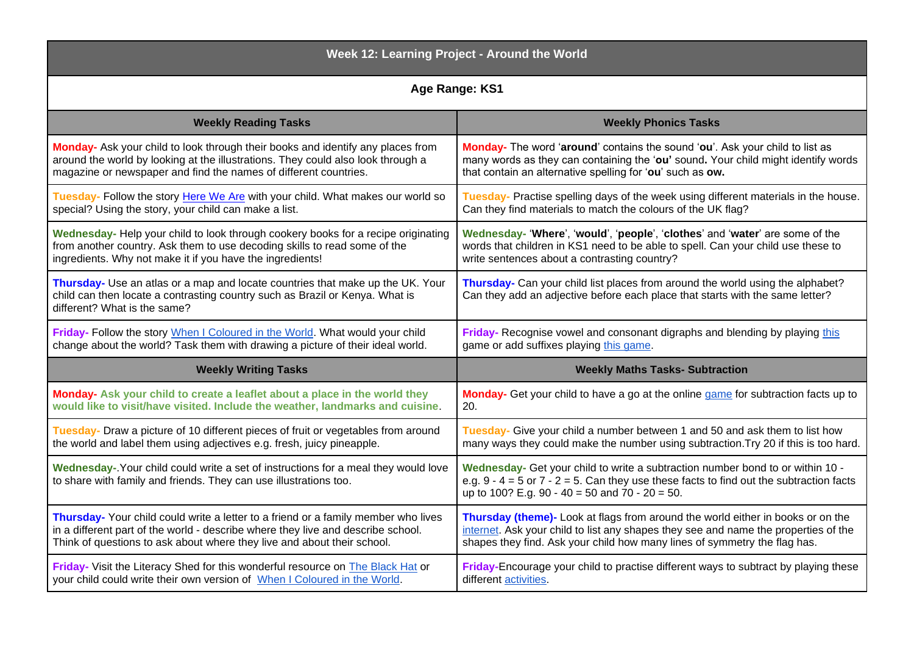| Week 12: Learning Project - Around the World                                                                                                                                                   |                                                                                                                                                                                                                                     |
|------------------------------------------------------------------------------------------------------------------------------------------------------------------------------------------------|-------------------------------------------------------------------------------------------------------------------------------------------------------------------------------------------------------------------------------------|
| Age Range: KS1                                                                                                                                                                                 |                                                                                                                                                                                                                                     |
| <b>Weekly Reading Tasks</b>                                                                                                                                                                    | <b>Weekly Phonics Tasks</b>                                                                                                                                                                                                         |
| Monday- Ask your child to look through their books and identify any places from                                                                                                                | Monday- The word 'around' contains the sound 'ou'. Ask your child to list as                                                                                                                                                        |
| around the world by looking at the illustrations. They could also look through a                                                                                                               | many words as they can containing the 'ou' sound. Your child might identify words                                                                                                                                                   |
| magazine or newspaper and find the names of different countries.                                                                                                                               | that contain an alternative spelling for 'ou' such as ow.                                                                                                                                                                           |
| Tuesday- Follow the story Here We Are with your child. What makes our world so                                                                                                                 | Tuesday- Practise spelling days of the week using different materials in the house.                                                                                                                                                 |
| special? Using the story, your child can make a list.                                                                                                                                          | Can they find materials to match the colours of the UK flag?                                                                                                                                                                        |
| Wednesday- Help your child to look through cookery books for a recipe originating                                                                                                              | Wednesday- 'Where', 'would', 'people', 'clothes' and 'water' are some of the                                                                                                                                                        |
| from another country. Ask them to use decoding skills to read some of the                                                                                                                      | words that children in KS1 need to be able to spell. Can your child use these to                                                                                                                                                    |
| ingredients. Why not make it if you have the ingredients!                                                                                                                                      | write sentences about a contrasting country?                                                                                                                                                                                        |
| Thursday- Use an atlas or a map and locate countries that make up the UK. Your<br>child can then locate a contrasting country such as Brazil or Kenya. What is<br>different? What is the same? | Thursday- Can your child list places from around the world using the alphabet?<br>Can they add an adjective before each place that starts with the same letter?                                                                     |
| Friday- Follow the story When I Coloured in the World. What would your child                                                                                                                   | Friday- Recognise vowel and consonant digraphs and blending by playing this                                                                                                                                                         |
| change about the world? Task them with drawing a picture of their ideal world.                                                                                                                 | game or add suffixes playing this game.                                                                                                                                                                                             |
| <b>Weekly Writing Tasks</b>                                                                                                                                                                    | <b>Weekly Maths Tasks- Subtraction</b>                                                                                                                                                                                              |
| Monday- Ask your child to create a leaflet about a place in the world they                                                                                                                     | Monday- Get your child to have a go at the online game for subtraction facts up to                                                                                                                                                  |
| would like to visit/have visited. Include the weather, landmarks and cuisine.                                                                                                                  | 20.                                                                                                                                                                                                                                 |
| Tuesday- Draw a picture of 10 different pieces of fruit or vegetables from around                                                                                                              | Tuesday- Give your child a number between 1 and 50 and ask them to list how                                                                                                                                                         |
| the world and label them using adjectives e.g. fresh, juicy pineapple.                                                                                                                         | many ways they could make the number using subtraction. Try 20 if this is too hard.                                                                                                                                                 |
| Wednesday-. Your child could write a set of instructions for a meal they would love<br>to share with family and friends. They can use illustrations too.                                       | Wednesday- Get your child to write a subtraction number bond to or within 10 -<br>e.g. $9 - 4 = 5$ or $7 - 2 = 5$ . Can they use these facts to find out the subtraction facts<br>up to 100? E.g. 90 - 40 = 50 and $70 - 20 = 50$ . |
| Thursday- Your child could write a letter to a friend or a family member who lives                                                                                                             | Thursday (theme)- Look at flags from around the world either in books or on the                                                                                                                                                     |
| in a different part of the world - describe where they live and describe school.                                                                                                               | internet. Ask your child to list any shapes they see and name the properties of the                                                                                                                                                 |
| Think of questions to ask about where they live and about their school.                                                                                                                        | shapes they find. Ask your child how many lines of symmetry the flag has.                                                                                                                                                           |
| Friday- Visit the Literacy Shed for this wonderful resource on The Black Hat or                                                                                                                | Friday-Encourage your child to practise different ways to subtract by playing these                                                                                                                                                 |
| your child could write their own version of When I Coloured in the World.                                                                                                                      | different activities.                                                                                                                                                                                                               |